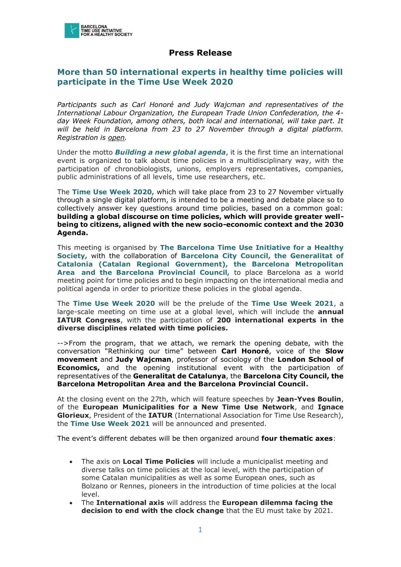

## **Press Release**

## **More than 50 international experts in healthy time policies will participate in the Time Use Week 2020**

*Participants such as Carl Honoré and Judy Wajcman and representatives of the International Labour Organization, the European Trade Union Confederation, the 4 day Week Foundation, among others, both local and international, will take part. It will be held in Barcelona from 23 to 27 November through a digital platform. Registration is [open.](https://timeuseinitiative.typeform.com/to/i6vehN6u)*

Under the motto *Building a new global agenda*, it is the first time an international event is organized to talk about time policies in a multidisciplinary way, with the participation of chronobiologists, unions, employers representatives, companies, public administrations of all levels, time use researchers, etc.

The **Time Use Week 2020,** which will take place from 23 to 27 November virtually through a single digital platform, is intended to be a meeting and debate place so to collectively answer key questions around time policies, based on a common goal: **building a global discourse on time policies, which will provide greater wellbeing to citizens, aligned with the new socio-economic context and the 2030 Agenda.**

This meeting is organised by **The Barcelona Time Use Initiative for a Healthy Society,** with the collaboration of **Barcelona City Council, the Generalitat of Catalonia (Catalan Regional Government), the Barcelona Metropolitan Area and the Barcelona Provincial Council,** to place Barcelona as a world meeting point for time policies and to begin impacting on the international media and political agenda in order to prioritize these policies in the global agenda.

The **Time Use Week 2020** will be the prelude of the **Time Use Week 2021**, a large-scale meeting on time use at a global level, which will include the **annual IATUR Congress**, with the participation of **200 international experts in the diverse disciplines related with time policies.**

-->From the program, that we attach, we remark the opening debate, with the conversation "Rethinking our time" between **Carl Honoré**, voice of the **Slow movement** and **Judy Wajcman**, professor of sociology of the **London School of Economics,** and the opening institutional event with the participation of representatives of the **Generalitat de Catalunya**, the **Barcelona City Council, the Barcelona Metropolitan Area and the Barcelona Provincial Council.**

At the closing event on the 27th, which will feature speeches by **Jean-Yves Boulin**, of the **European Municipalities for a New Time Use Network**, and **Ignace Glorieux**, President of the **IATUR** (International Association for Time Use Research), the **Time Use Week 2021** will be announced and presented.

The event's different debates will be then organized around **four thematic axes**:

- The axis on **Local Time Policies** will include a municipalist meeting and diverse talks on time policies at the local level, with the participation of some Catalan municipalities as well as some European ones, such as Bolzano or Rennes, pioneers in the introduction of time policies at the local level.
- The **International axis** will address the **European dilemma facing the decision to end with the clock change** that the EU must take by 2021.